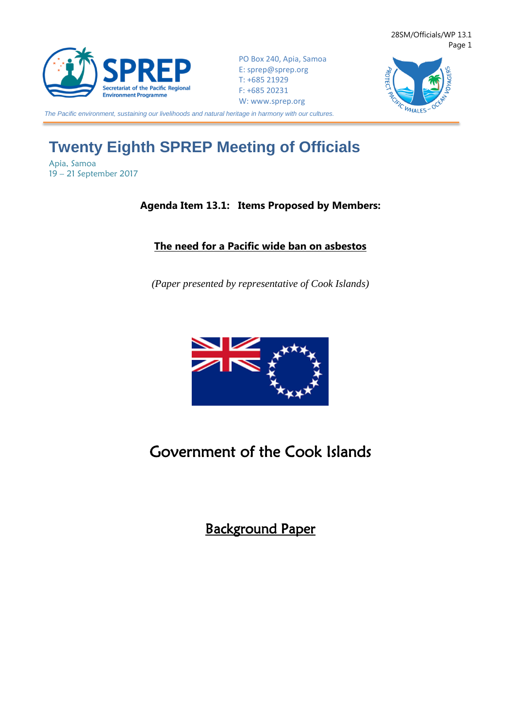

PO Box 240, Apia, Samoa E: [sprep@sprep.org](mailto:sprep@sprep.org) T: +685 21929 F: +685 20231 W: [www.sprep.org](http://www.sprep.org/)



*The Pacific environment, sustaining our livelihoods and natural heritage in harmony with our cultures.*

# **Twenty Eighth SPREP Meeting of Officials**

Apia, Samoa 19 – 21 September 2017

### **Agenda Item 13.1: Items Proposed by Members:**

## **The need for a Pacific wide ban on asbestos**

*(Paper presented by representative of Cook Islands)*



## Government of the Cook Islands

Background Paper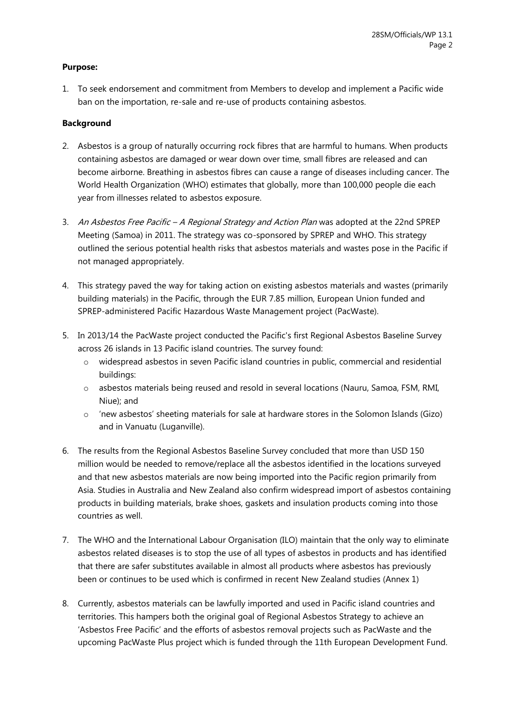### **Purpose:**

1. To seek endorsement and commitment from Members to develop and implement a Pacific wide ban on the importation, re-sale and re-use of products containing asbestos.

### **Background**

- 2. Asbestos is a group of naturally occurring rock fibres that are harmful to humans. When products containing asbestos are damaged or wear down over time, small fibres are released and can become airborne. Breathing in asbestos fibres can cause a range of diseases including cancer. The World Health Organization (WHO) estimates that globally, more than 100,000 people die each year from illnesses related to asbestos exposure.
- 3. An Asbestos Free Pacific A Regional Strategy and Action Plan was adopted at the 22nd SPREP Meeting (Samoa) in 2011. The strategy was co-sponsored by SPREP and WHO. This strategy outlined the serious potential health risks that asbestos materials and wastes pose in the Pacific if not managed appropriately.
- 4. This strategy paved the way for taking action on existing asbestos materials and wastes (primarily building materials) in the Pacific, through the EUR 7.85 million, European Union funded and SPREP-administered Pacific Hazardous Waste Management project (PacWaste).
- 5. In 2013/14 the PacWaste project conducted the Pacific's first Regional Asbestos Baseline Survey across 26 islands in 13 Pacific island countries. The survey found:
	- o widespread asbestos in seven Pacific island countries in public, commercial and residential buildings:
	- o asbestos materials being reused and resold in several locations (Nauru, Samoa, FSM, RMI, Niue); and
	- o 'new asbestos' sheeting materials for sale at hardware stores in the Solomon Islands (Gizo) and in Vanuatu (Luganville).
- 6. The results from the Regional Asbestos Baseline Survey concluded that more than USD 150 million would be needed to remove/replace all the asbestos identified in the locations surveyed and that new asbestos materials are now being imported into the Pacific region primarily from Asia. Studies in Australia and New Zealand also confirm widespread import of asbestos containing products in building materials, brake shoes, gaskets and insulation products coming into those countries as well.
- 7. The WHO and the International Labour Organisation (ILO) maintain that the only way to eliminate asbestos related diseases is to stop the use of all types of asbestos in products and has identified that there are safer substitutes available in almost all products where asbestos has previously been or continues to be used which is confirmed in recent New Zealand studies (Annex 1)
- 8. Currently, asbestos materials can be lawfully imported and used in Pacific island countries and territories. This hampers both the original goal of Regional Asbestos Strategy to achieve an 'Asbestos Free Pacific' and the efforts of asbestos removal projects such as PacWaste and the upcoming PacWaste Plus project which is funded through the 11th European Development Fund.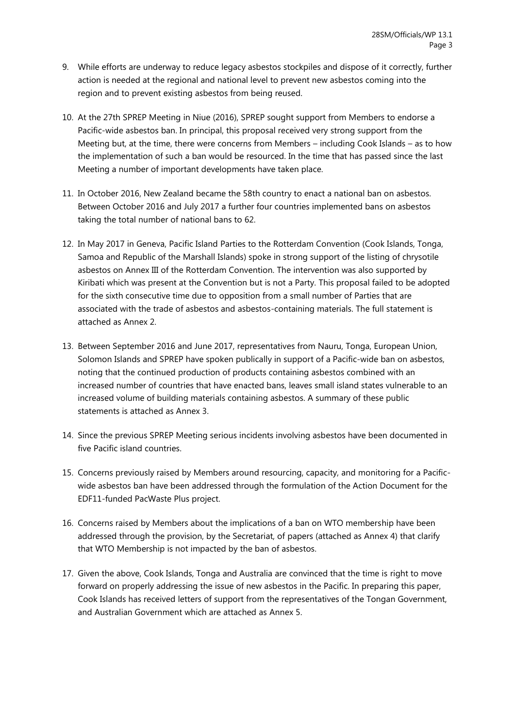- 9. While efforts are underway to reduce legacy asbestos stockpiles and dispose of it correctly, further action is needed at the regional and national level to prevent new asbestos coming into the region and to prevent existing asbestos from being reused.
- 10. At the 27th SPREP Meeting in Niue (2016), SPREP sought support from Members to endorse a Pacific-wide asbestos ban. In principal, this proposal received very strong support from the Meeting but, at the time, there were concerns from Members – including Cook Islands – as to how the implementation of such a ban would be resourced. In the time that has passed since the last Meeting a number of important developments have taken place.
- 11. In October 2016, New Zealand became the 58th country to enact a national ban on asbestos. Between October 2016 and July 2017 a further four countries implemented bans on asbestos taking the total number of national bans to 62.
- 12. In May 2017 in Geneva, Pacific Island Parties to the Rotterdam Convention (Cook Islands, Tonga, Samoa and Republic of the Marshall Islands) spoke in strong support of the listing of chrysotile asbestos on Annex III of the Rotterdam Convention. The intervention was also supported by Kiribati which was present at the Convention but is not a Party. This proposal failed to be adopted for the sixth consecutive time due to opposition from a small number of Parties that are associated with the trade of asbestos and asbestos-containing materials. The full statement is attached as Annex 2.
- 13. Between September 2016 and June 2017, representatives from Nauru, Tonga, European Union, Solomon Islands and SPREP have spoken publically in support of a Pacific-wide ban on asbestos, noting that the continued production of products containing asbestos combined with an increased number of countries that have enacted bans, leaves small island states vulnerable to an increased volume of building materials containing asbestos. A summary of these public statements is attached as Annex 3.
- 14. Since the previous SPREP Meeting serious incidents involving asbestos have been documented in five Pacific island countries.
- 15. Concerns previously raised by Members around resourcing, capacity, and monitoring for a Pacificwide asbestos ban have been addressed through the formulation of the Action Document for the EDF11-funded PacWaste Plus project.
- 16. Concerns raised by Members about the implications of a ban on WTO membership have been addressed through the provision, by the Secretariat, of papers (attached as Annex 4) that clarify that WTO Membership is not impacted by the ban of asbestos.
- 17. Given the above, Cook Islands, Tonga and Australia are convinced that the time is right to move forward on properly addressing the issue of new asbestos in the Pacific. In preparing this paper, Cook Islands has received letters of support from the representatives of the Tongan Government, and Australian Government which are attached as Annex 5.